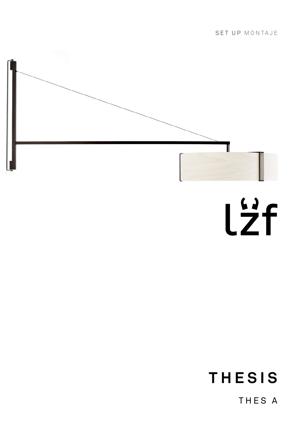

# Lzf

# **THESIS**

THES A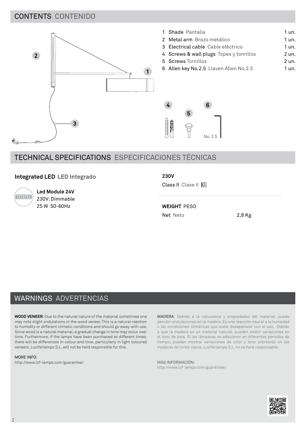# CONTENTS CONTENIDO



| 1 Shade Pantalla                        | 1 un. |
|-----------------------------------------|-------|
| 2 Metal arm Brazo metálico              | 1 un. |
| 3 Electrical cable Cable eléctrico      | 1 un. |
| 4 Screws & wall plugs Topes y tonrillos | 2 un. |
| 5 Screws Tornillos                      | 2 un. |
| 6 Allen key No.2.5 Llaven Allen No.2.5  | 1 un. |
|                                         |       |
|                                         |       |
|                                         |       |



# TECHNICAL SPECIFICATIONS ESPECIFICACIONES TÉCNICAS

#### **Integrated LED LED Integrado**

| ı | − |
|---|---|
|   |   |
|   |   |

**Led Module 24V** 230V: Dimmable 25 W 50-60Hz

#### **230V**

Class II Clase II

**WEIGHT PESO**

Net Neto 2,8 Kg

# WARNINGS ADVERTENCIAS

**WOOD VENEER**: Due to the natural nature of the material sometimes one may note slight ondulations in the wood veneer. This is a natural reaction to humidity or different climatic conditions and should go away with use. Since wood is a natural material, a gradual change in tone may occur over time. Furthermore, if the lamps have been purchased at different times, there will be differences in colour and tone, particularly in light coloured veneers. Luziferlamps S.L. will not be held responsible for this.

#### MORE INFO:

http://www.lzf-lamps.com/guarantee/

**MADERA**: Debido a la naturaleza y propiedades del material, puede percibir ondulaciones en la madera. Es una reacción naural a la humedad o las condiciones climáticas que suele desaparecer con el uso. Debido a que la madera es un material natural, pueden existir variaciones en el tono de ésta. Si las lámparas se adquieren en diferentes periodos de tiempo, pueden mostrar variaciones de color y tono sobretodo en las maderas de tonos claros. Luziferlamps S.L. no se hará responsable.

MÁS INFORMACIÓN: http://www.lzf-lamps.com/guarantee/

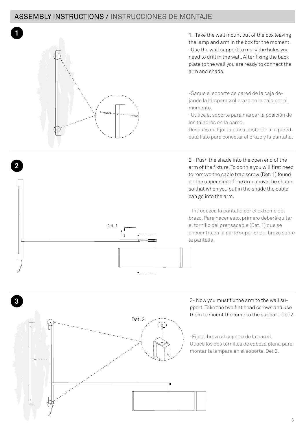# ASSEMBLY INSTRUCTIONS / INSTRUCCIONES DE MONTAJE



**1**

**2**

**3**

1. -Take the wall mount out of the box leaving the lamp and arm in the box for the moment. -Use the wall support to mark the holes you need to drill in the wall. After fixing the back plate to the wall you are ready to connect the arm and shade.

-Saque el soporte de pared de la caja dejando la lámpara y el brazo en la caja por el momento.

-Utilice el soporte para marcar la posición de los taladros en la pared.

Después de fijar la placa posterior a la pared, está listo para conectar el brazo y la pantalla.

2 - Push the shade into the open end of the arm of the fixture. To do this you will first need to remove the cable trap screw (Det. 1) found on the upper side of the arm above the shade so that when you put in the shade the cable can go into the arm.

 -Introduzca la pantalla por el extremo del brazo. Para hacer esto, primero deberá quitar el tornillo del prensacable (Det. 1) que se encuentra en la parte superior del brazo sobre la pantalla.

3- Now you must fix the arm to the wall support. Take the two flat head screws and use them to mount the lamp to the support. Det 2.

-Fije el brazo al soporte de la pared. Utilice los dos tornillos de cabeza plana para montar la lámpara en el soporte. Det 2.



Det. 1

¦ l

3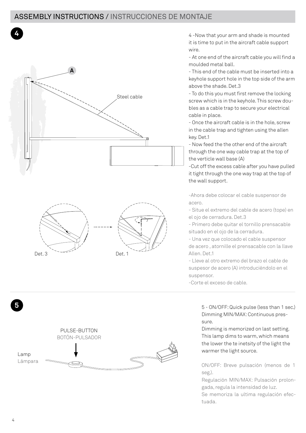# ASSEMBLY INSTRUCTIONS / INSTRUCCIONES DE MONTAJE







4 -Now that your arm and shade is mounted it is time to put in the aircraft cable support wire.

- At one end of the aircraft cable you will find a moulded metal ball.

- This end of the cable must be inserted into a keyhole support hole in the top side of the arm above the shade. Det.3

- To do this you must first remove the locking screw which is in the keyhole. This screw doubles as a cable trap to secure your electrical cable in place.

- Once the aircraft cable is in the hole, screw in the cable trap and tighten using the allen key. Det.1

- Now feed the the other end of the aircraft through the one way cable trap at the top of the verticle wall base (A)

-Cut off the excess cable after you have pulled it tight through the one way trap at the top of the wall support.

-Ahora debe colocar el cable suspensor de acero.

- Situe el extremo del cable de acero (tope) en el ojo de cerradura. Det.3

- Primero debe quitar el tornillo prensacable situado en el ojo de la cerradura.

- Una vez que colocado el cable suspensor de acero , atornille el prensacable con la llave Allen. Det.1

- Lleve al otro extremo del brazo el cable de suspesor de acero (A) introduciéndolo en el suspensor.

-Corte el exceso de cable.

**5** 5 - ON/OFF: Quick pulse (less than 1 sec.) Dimming MIN/MAX: Continuous pressure.

Dimming is memorized on last setting. This lamp dims to warm, which means the lower the te inetsity of the light the warmer the light source.

ON/OFF: Breve pulsación (menos de 1 seg.).

Regulación MIN/MAX: Pulsación prolongada, regula la intensidad de luz.

Se memoriza la ultima regulación efectuada.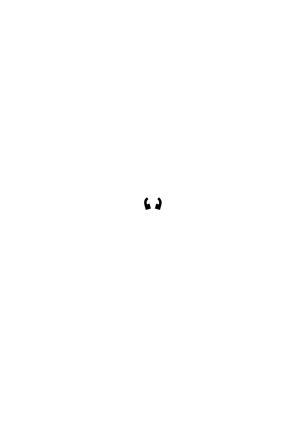$\begin{array}{c} \textbf{A} \\ \textbf{B} \end{array}$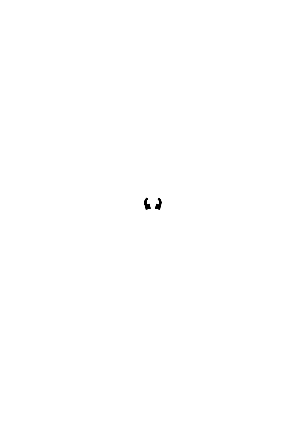$\begin{array}{c} \textbf{A} \\ \textbf{B} \end{array}$